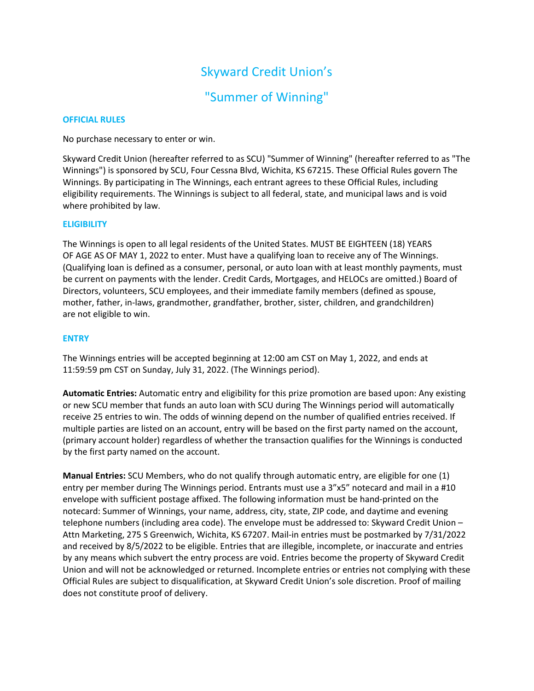# Skyward Credit Union's

## "Summer of Winning"

## OFFICIAL RULES

No purchase necessary to enter or win.

Skyward Credit Union (hereafter referred to as SCU) "Summer of Winning" (hereafter referred to as "The Winnings") is sponsored by SCU, Four Cessna Blvd, Wichita, KS 67215. These Official Rules govern The Winnings. By participating in The Winnings, each entrant agrees to these Official Rules, including eligibility requirements. The Winnings is subject to all federal, state, and municipal laws and is void where prohibited by law.

## **ELIGIBILITY**

The Winnings is open to all legal residents of the United States. MUST BE EIGHTEEN (18) YEARS OF AGE AS OF MAY 1, 2022 to enter. Must have a qualifying loan to receive any of The Winnings. (Qualifying loan is defined as a consumer, personal, or auto loan with at least monthly payments, must be current on payments with the lender. Credit Cards, Mortgages, and HELOCs are omitted.) Board of Directors, volunteers, SCU employees, and their immediate family members (defined as spouse, mother, father, in-laws, grandmother, grandfather, brother, sister, children, and grandchildren) are not eligible to win.

## ENTRY

The Winnings entries will be accepted beginning at 12:00 am CST on May 1, 2022, and ends at 11:59:59 pm CST on Sunday, July 31, 2022. (The Winnings period).

Automatic Entries: Automatic entry and eligibility for this prize promotion are based upon: Any existing or new SCU member that funds an auto loan with SCU during The Winnings period will automatically receive 25 entries to win. The odds of winning depend on the number of qualified entries received. If multiple parties are listed on an account, entry will be based on the first party named on the account, (primary account holder) regardless of whether the transaction qualifies for the Winnings is conducted by the first party named on the account.

Manual Entries: SCU Members, who do not qualify through automatic entry, are eligible for one (1) entry per member during The Winnings period. Entrants must use a 3"x5" notecard and mail in a #10 envelope with sufficient postage affixed. The following information must be hand-printed on the notecard: Summer of Winnings, your name, address, city, state, ZIP code, and daytime and evening telephone numbers (including area code). The envelope must be addressed to: Skyward Credit Union – Attn Marketing, 275 S Greenwich, Wichita, KS 67207. Mail-in entries must be postmarked by 7/31/2022 and received by 8/5/2022 to be eligible. Entries that are illegible, incomplete, or inaccurate and entries by any means which subvert the entry process are void. Entries become the property of Skyward Credit Union and will not be acknowledged or returned. Incomplete entries or entries not complying with these Official Rules are subject to disqualification, at Skyward Credit Union's sole discretion. Proof of mailing does not constitute proof of delivery.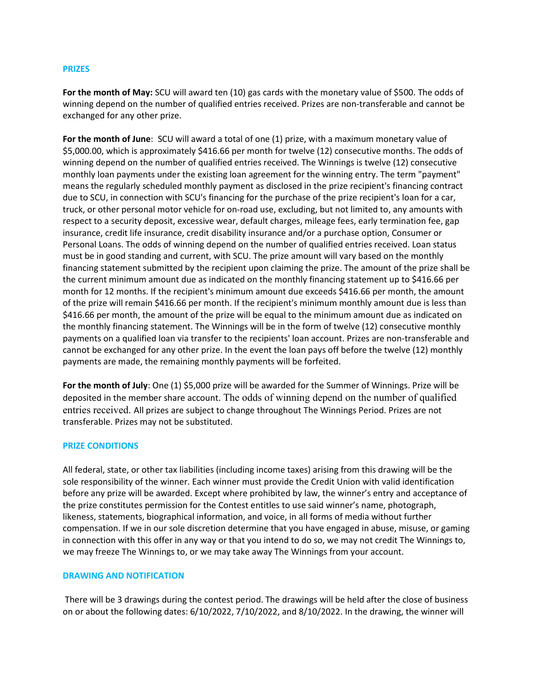#### PRIZES

For the month of May: SCU will award ten (10) gas cards with the monetary value of \$500. The odds of winning depend on the number of qualified entries received. Prizes are non-transferable and cannot be exchanged for any other prize.

For the month of June: SCU will award a total of one (1) prize, with a maximum monetary value of \$5,000.00, which is approximately \$416.66 per month for twelve (12) consecutive months. The odds of winning depend on the number of qualified entries received. The Winnings is twelve (12) consecutive monthly loan payments under the existing loan agreement for the winning entry. The term "payment" means the regularly scheduled monthly payment as disclosed in the prize recipient's financing contract due to SCU, in connection with SCU's financing for the purchase of the prize recipient's loan for a car, truck, or other personal motor vehicle for on-road use, excluding, but not limited to, any amounts with respect to a security deposit, excessive wear, default charges, mileage fees, early termination fee, gap insurance, credit life insurance, credit disability insurance and/or a purchase option, Consumer or Personal Loans. The odds of winning depend on the number of qualified entries received. Loan status must be in good standing and current, with SCU. The prize amount will vary based on the monthly financing statement submitted by the recipient upon claiming the prize. The amount of the prize shall be the current minimum amount due as indicated on the monthly financing statement up to \$416.66 per month for 12 months. If the recipient's minimum amount due exceeds \$416.66 per month, the amount of the prize will remain \$416.66 per month. If the recipient's minimum monthly amount due is less than \$416.66 per month, the amount of the prize will be equal to the minimum amount due as indicated on the monthly financing statement. The Winnings will be in the form of twelve (12) consecutive monthly payments on a qualified loan via transfer to the recipients' loan account. Prizes are non-transferable and cannot be exchanged for any other prize. In the event the loan pays off before the twelve (12) monthly payments are made, the remaining monthly payments will be forfeited.

For the month of July: One (1) \$5,000 prize will be awarded for the Summer of Winnings. Prize will be deposited in the member share account. The odds of winning depend on the number of qualified entries received. All prizes are subject to change throughout The Winnings Period. Prizes are not transferable. Prizes may not be substituted.

#### PRIZE CONDITIONS

All federal, state, or other tax liabilities (including income taxes) arising from this drawing will be the sole responsibility of the winner. Each winner must provide the Credit Union with valid identification before any prize will be awarded. Except where prohibited by law, the winner's entry and acceptance of the prize constitutes permission for the Contest entitles to use said winner's name, photograph, likeness, statements, biographical information, and voice, in all forms of media without further compensation. If we in our sole discretion determine that you have engaged in abuse, misuse, or gaming in connection with this offer in any way or that you intend to do so, we may not credit The Winnings to, we may freeze The Winnings to, or we may take away The Winnings from your account.

#### DRAWING AND NOTIFICATION

 There will be 3 drawings during the contest period. The drawings will be held after the close of business on or about the following dates: 6/10/2022, 7/10/2022, and 8/10/2022. In the drawing, the winner will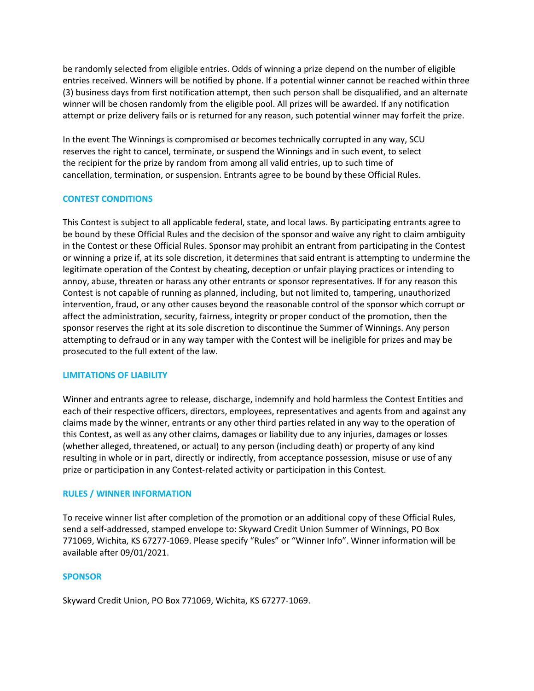be randomly selected from eligible entries. Odds of winning a prize depend on the number of eligible entries received. Winners will be notified by phone. If a potential winner cannot be reached within three (3) business days from first notification attempt, then such person shall be disqualified, and an alternate winner will be chosen randomly from the eligible pool. All prizes will be awarded. If any notification attempt or prize delivery fails or is returned for any reason, such potential winner may forfeit the prize.

In the event The Winnings is compromised or becomes technically corrupted in any way, SCU reserves the right to cancel, terminate, or suspend the Winnings and in such event, to select the recipient for the prize by random from among all valid entries, up to such time of cancellation, termination, or suspension. Entrants agree to be bound by these Official Rules.

## CONTEST CONDITIONS

This Contest is subject to all applicable federal, state, and local laws. By participating entrants agree to be bound by these Official Rules and the decision of the sponsor and waive any right to claim ambiguity in the Contest or these Official Rules. Sponsor may prohibit an entrant from participating in the Contest or winning a prize if, at its sole discretion, it determines that said entrant is attempting to undermine the legitimate operation of the Contest by cheating, deception or unfair playing practices or intending to annoy, abuse, threaten or harass any other entrants or sponsor representatives. If for any reason this Contest is not capable of running as planned, including, but not limited to, tampering, unauthorized intervention, fraud, or any other causes beyond the reasonable control of the sponsor which corrupt or affect the administration, security, fairness, integrity or proper conduct of the promotion, then the sponsor reserves the right at its sole discretion to discontinue the Summer of Winnings. Any person attempting to defraud or in any way tamper with the Contest will be ineligible for prizes and may be prosecuted to the full extent of the law.

## LIMITATIONS OF LIABILITY

Winner and entrants agree to release, discharge, indemnify and hold harmless the Contest Entities and each of their respective officers, directors, employees, representatives and agents from and against any claims made by the winner, entrants or any other third parties related in any way to the operation of this Contest, as well as any other claims, damages or liability due to any injuries, damages or losses (whether alleged, threatened, or actual) to any person (including death) or property of any kind resulting in whole or in part, directly or indirectly, from acceptance possession, misuse or use of any prize or participation in any Contest-related activity or participation in this Contest.

## RULES / WINNER INFORMATION

To receive winner list after completion of the promotion or an additional copy of these Official Rules, send a self-addressed, stamped envelope to: Skyward Credit Union Summer of Winnings, PO Box 771069, Wichita, KS 67277-1069. Please specify "Rules" or "Winner Info". Winner information will be available after 09/01/2021.

## **SPONSOR**

Skyward Credit Union, PO Box 771069, Wichita, KS 67277-1069.